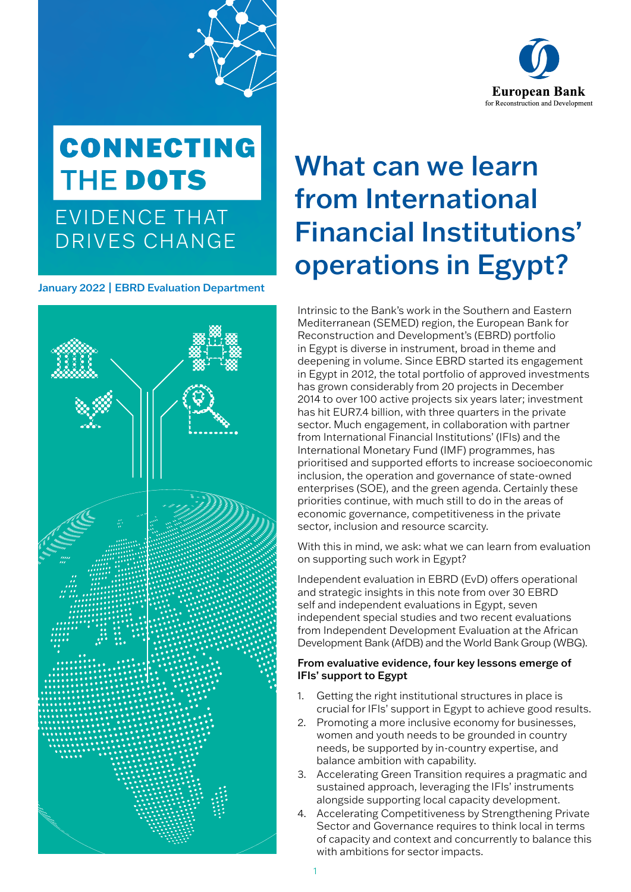

## **CONNECTING** THE DOTS

EVIDENCE THAT DRIVES CHANGE

January 2022 | EBRD Evaluation Department



### What can we learn from International Financial Institutions' operations in Egypt?

Intrinsic to the Bank's work in the Southern and Eastern Mediterranean (SEMED) region, the European Bank for Reconstruction and Development's (EBRD) portfolio in Egypt is diverse in instrument, broad in theme and deepening in volume. Since EBRD started its engagement in Egypt in 2012, the total portfolio of approved investments has grown considerably from 20 projects in December 2014 to over 100 active projects six years later; investment has hit EUR7.4 billion, with three quarters in the private sector. Much engagement, in collaboration with partner from International Financial Institutions' (IFIs) and the International Monetary Fund (IMF) programmes, has prioritised and supported efforts to increase socioeconomic inclusion, the operation and governance of state-owned enterprises (SOE), and the green agenda. Certainly these priorities continue, with much still to do in the areas of economic governance, competitiveness in the private sector, inclusion and resource scarcity.

With this in mind, we ask: what we can learn from evaluation on supporting such work in Egypt?

Independent evaluation in EBRD (EvD) offers operational and strategic insights in this note from over 30 EBRD self and independent evaluations in Egypt, seven independent special studies and two recent evaluations from Independent Development Evaluation at the African Development Bank (AfDB) and the World Bank Group (WBG).

#### From evaluative evidence, four key lessons emerge of IFIs' support to Egypt

- 1. Getting the right institutional structures in place is crucial for IFIs' support in Egypt to achieve good results.
- 2. Promoting a more inclusive economy for businesses, women and youth needs to be grounded in country needs, be supported by in-country expertise, and balance ambition with capability.
- 3. Accelerating Green Transition requires a pragmatic and sustained approach, leveraging the IFIs' instruments alongside supporting local capacity development.
- 4. Accelerating Competitiveness by Strengthening Private Sector and Governance requires to think local in terms of capacity and context and concurrently to balance this with ambitions for sector impacts.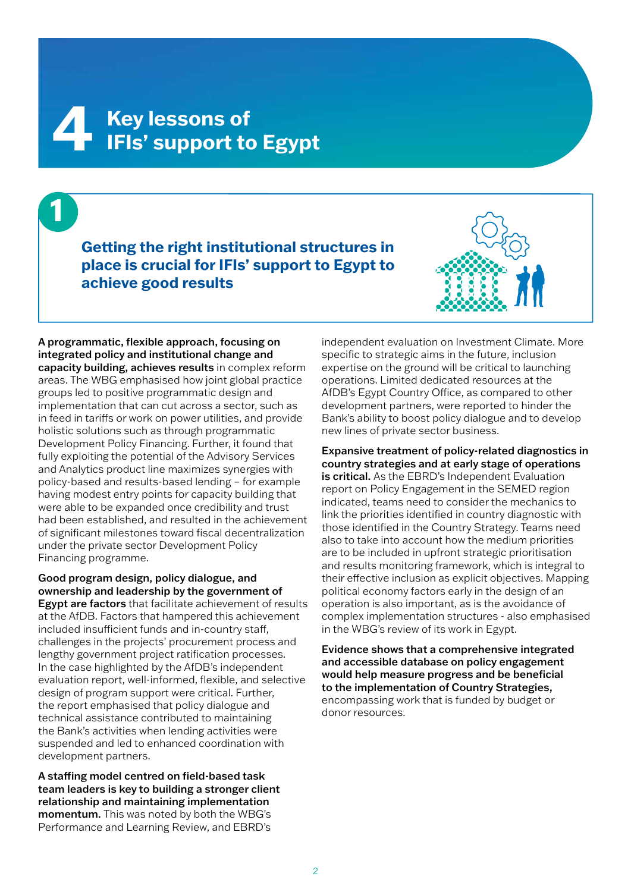# **Key lessons of 4 IFIs' support to Egypt**

**1 Getting the right institutional structures in place is crucial for IFIs' support to Egypt to achieve good results**



A programmatic, flexible approach, focusing on integrated policy and institutional change and capacity building, achieves results in complex reform areas. The WBG emphasised how joint global practice groups led to positive programmatic design and implementation that can cut across a sector, such as in feed in tariffs or work on power utilities, and provide holistic solutions such as through programmatic Development Policy Financing. Further, it found that fully exploiting the potential of the Advisory Services and Analytics product line maximizes synergies with policy-based and results-based lending – for example having modest entry points for capacity building that were able to be expanded once credibility and trust had been established, and resulted in the achievement of significant milestones toward fiscal decentralization under the private sector Development Policy Financing programme.

Good program design, policy dialogue, and ownership and leadership by the government of **Egypt are factors** that facilitate achievement of results at the AfDB. Factors that hampered this achievement included insufficient funds and in-country staff, challenges in the projects' procurement process and lengthy government project ratification processes. In the case highlighted by the AfDB's independent evaluation report, well-informed, flexible, and selective design of program support were critical. Further, the report emphasised that policy dialogue and technical assistance contributed to maintaining the Bank's activities when lending activities were suspended and led to enhanced coordination with development partners.

A staffing model centred on field-based task team leaders is key to building a stronger client relationship and maintaining implementation momentum. This was noted by both the WBG's Performance and Learning Review, and EBRD's

independent evaluation on Investment Climate. More specific to strategic aims in the future, inclusion expertise on the ground will be critical to launching operations. Limited dedicated resources at the AfDB's Egypt Country Office, as compared to other development partners, were reported to hinder the Bank's ability to boost policy dialogue and to develop new lines of private sector business.

Expansive treatment of policy-related diagnostics in country strategies and at early stage of operations is critical. As the EBRD's Independent Evaluation report on Policy Engagement in the SEMED region indicated, teams need to consider the mechanics to link the priorities identified in country diagnostic with those identified in the Country Strategy. Teams need also to take into account how the medium priorities are to be included in upfront strategic prioritisation and results monitoring framework, which is integral to their effective inclusion as explicit objectives. Mapping political economy factors early in the design of an operation is also important, as is the avoidance of complex implementation structures - also emphasised in the WBG's review of its work in Egypt.

Evidence shows that a comprehensive integrated and accessible database on policy engagement would help measure progress and be beneficial to the implementation of Country Strategies, encompassing work that is funded by budget or donor resources.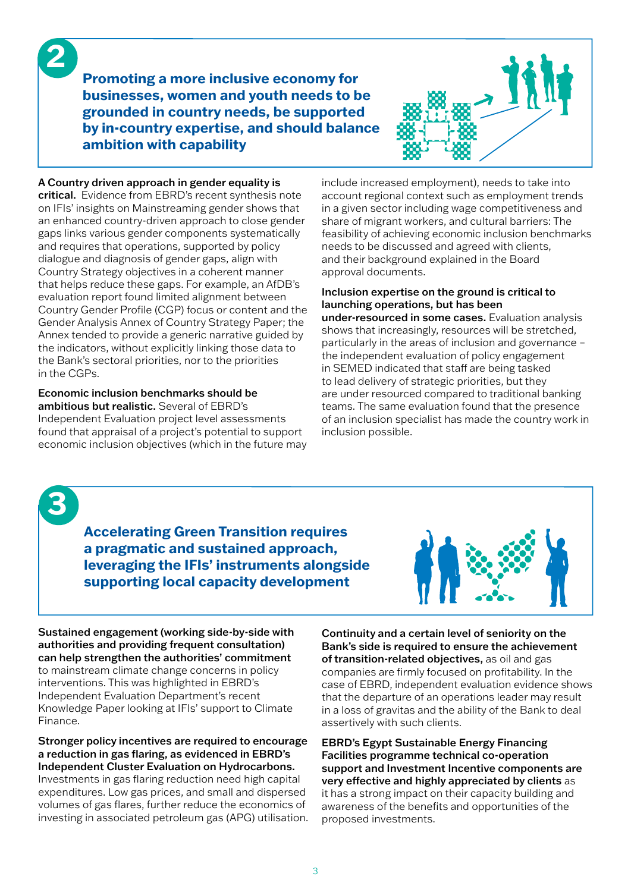**Promoting a more inclusive economy for businesses, women and youth needs to be grounded in country needs, be supported by in-country expertise, and should balance ambition with capability** 



#### A Country driven approach in gender equality is

critical. Evidence from EBRD's recent synthesis note on IFIs' insights on Mainstreaming gender shows that an enhanced country-driven approach to close gender gaps links various gender components systematically and requires that operations, supported by policy dialogue and diagnosis of gender gaps, align with Country Strategy objectives in a coherent manner that helps reduce these gaps. For example, an AfDB's evaluation report found limited alignment between Country Gender Profile (CGP) focus or content and the Gender Analysis Annex of Country Strategy Paper; the Annex tended to provide a generic narrative guided by the indicators, without explicitly linking those data to the Bank's sectoral priorities, nor to the priorities in the CGPs.

Economic inclusion benchmarks should be ambitious but realistic. Several of EBRD's Independent Evaluation project level assessments found that appraisal of a project's potential to support economic inclusion objectives (which in the future may include increased employment), needs to take into account regional context such as employment trends in a given sector including wage competitiveness and share of migrant workers, and cultural barriers: The feasibility of achieving economic inclusion benchmarks needs to be discussed and agreed with clients, and their background explained in the Board approval documents.

#### Inclusion expertise on the ground is critical to launching operations, but has been

under-resourced in some cases. Evaluation analysis shows that increasingly, resources will be stretched, particularly in the areas of inclusion and governance – the independent evaluation of policy engagement in SEMED indicated that staff are being tasked to lead delivery of strategic priorities, but they are under resourced compared to traditional banking teams. The same evaluation found that the presence of an inclusion specialist has made the country work in inclusion possible.

**3**

**2**

**Accelerating Green Transition requires a pragmatic and sustained approach, leveraging the IFIs' instruments alongside supporting local capacity development**



Sustained engagement (working side-by-side with authorities and providing frequent consultation) can help strengthen the authorities' commitment to mainstream climate change concerns in policy interventions. This was highlighted in EBRD's Independent Evaluation Department's recent Knowledge Paper looking at IFIs' support to Climate Finance.

Stronger policy incentives are required to encourage a reduction in gas flaring, as evidenced in EBRD's Independent Cluster Evaluation on Hydrocarbons.

Investments in gas flaring reduction need high capital expenditures. Low gas prices, and small and dispersed volumes of gas flares, further reduce the economics of investing in associated petroleum gas (APG) utilisation. Continuity and a certain level of seniority on the Bank's side is required to ensure the achievement of transition-related objectives, as oil and gas companies are firmly focused on profitability. In the case of EBRD, independent evaluation evidence shows that the departure of an operations leader may result in a loss of gravitas and the ability of the Bank to deal assertively with such clients.

EBRD's Egypt Sustainable Energy Financing Facilities programme technical co-operation support and Investment Incentive components are very effective and highly appreciated by clients as it has a strong impact on their capacity building and awareness of the benefits and opportunities of the proposed investments.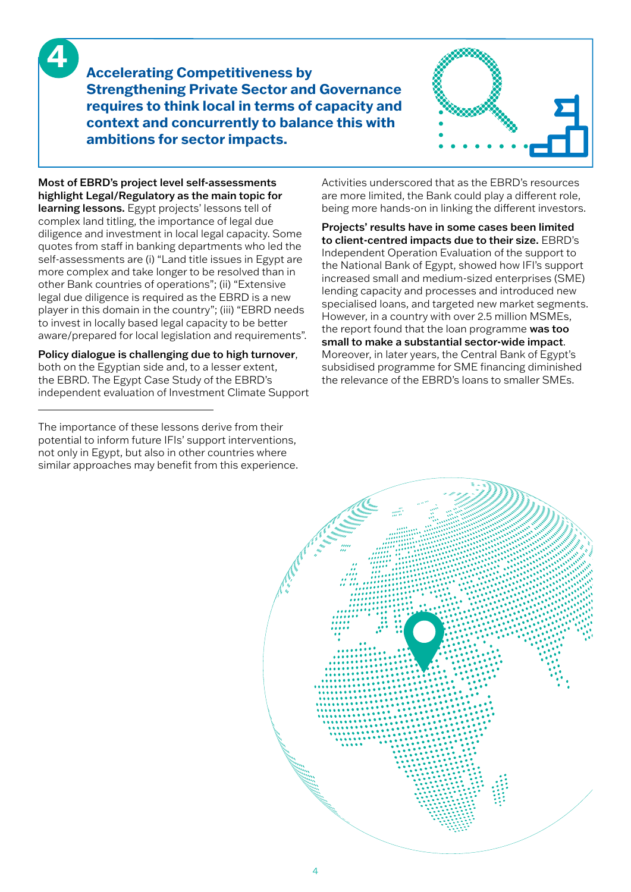**4**

**Accelerating Competitiveness by Strengthening Private Sector and Governance requires to think local in terms of capacity and context and concurrently to balance this with ambitions for sector impacts.** 



Most of EBRD's project level self-assessments highlight Legal/Regulatory as the main topic for learning lessons. Egypt projects' lessons tell of complex land titling, the importance of legal due diligence and investment in local legal capacity. Some quotes from staff in banking departments who led the self-assessments are (i) "Land title issues in Egypt are more complex and take longer to be resolved than in other Bank countries of operations"; (ii) "Extensive legal due diligence is required as the EBRD is a new player in this domain in the country"; (iii) "EBRD needs to invest in locally based legal capacity to be better aware/prepared for local legislation and requirements".

Policy dialogue is challenging due to high turnover, both on the Egyptian side and, to a lesser extent, the EBRD. The Egypt Case Study of the EBRD's independent evaluation of Investment Climate Support

The importance of these lessons derive from their potential to inform future IFIs' support interventions, not only in Egypt, but also in other countries where similar approaches may benefit from this experience. Activities underscored that as the EBRD's resources are more limited, the Bank could play a different role, being more hands-on in linking the different investors.

Projects' results have in some cases been limited to client-centred impacts due to their size. EBRD's Independent Operation Evaluation of the support to the National Bank of Egypt, showed how IFI's support increased small and medium-sized enterprises (SME) lending capacity and processes and introduced new specialised loans, and targeted new market segments. However, in a country with over 2.5 million MSMEs, the report found that the loan programme was too small to make a substantial sector-wide impact. Moreover, in later years, the Central Bank of Egypt's subsidised programme for SME financing diminished the relevance of the EBRD's loans to smaller SMEs.